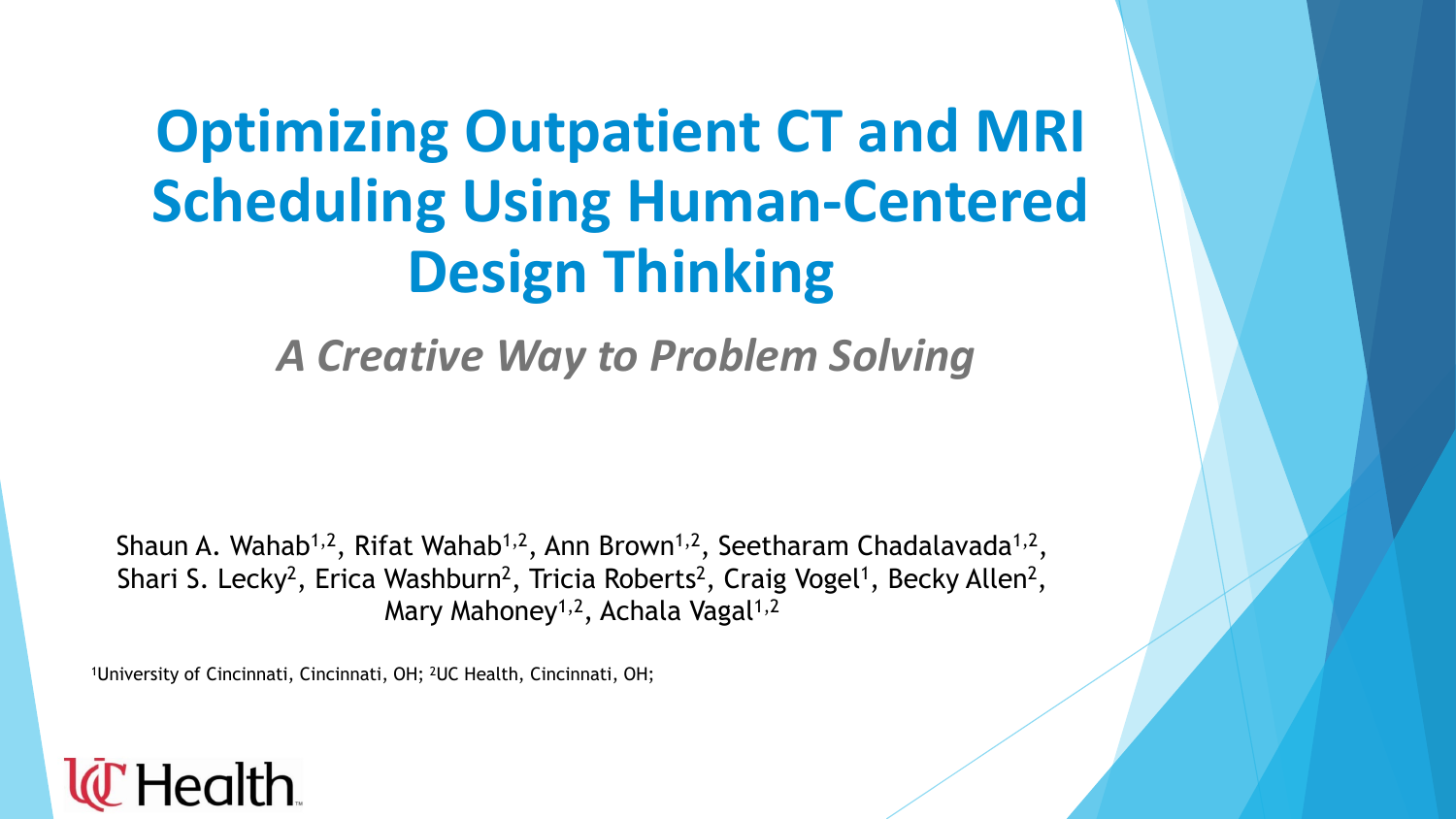# **Optimizing Outpatient CT and MRI Scheduling Using Human-Centered Design Thinking**

*A Creative Way to Problem Solving*

Shaun A. Wahab<sup>1,2</sup>, Rifat Wahab<sup>1,2</sup>, Ann Brown<sup>1,2</sup>, Seetharam Chadalavada<sup>1,2</sup>, Shari S. Lecky<sup>2</sup>, Erica Washburn<sup>2</sup>, Tricia Roberts<sup>2</sup>, Craig Vogel<sup>1</sup>, Becky Allen<sup>2</sup>, Mary Mahoney<sup>1,2</sup>, Achala Vagal<sup>1,2</sup>

1University of Cincinnati, Cincinnati, OH; 2UC Health, Cincinnati, OH;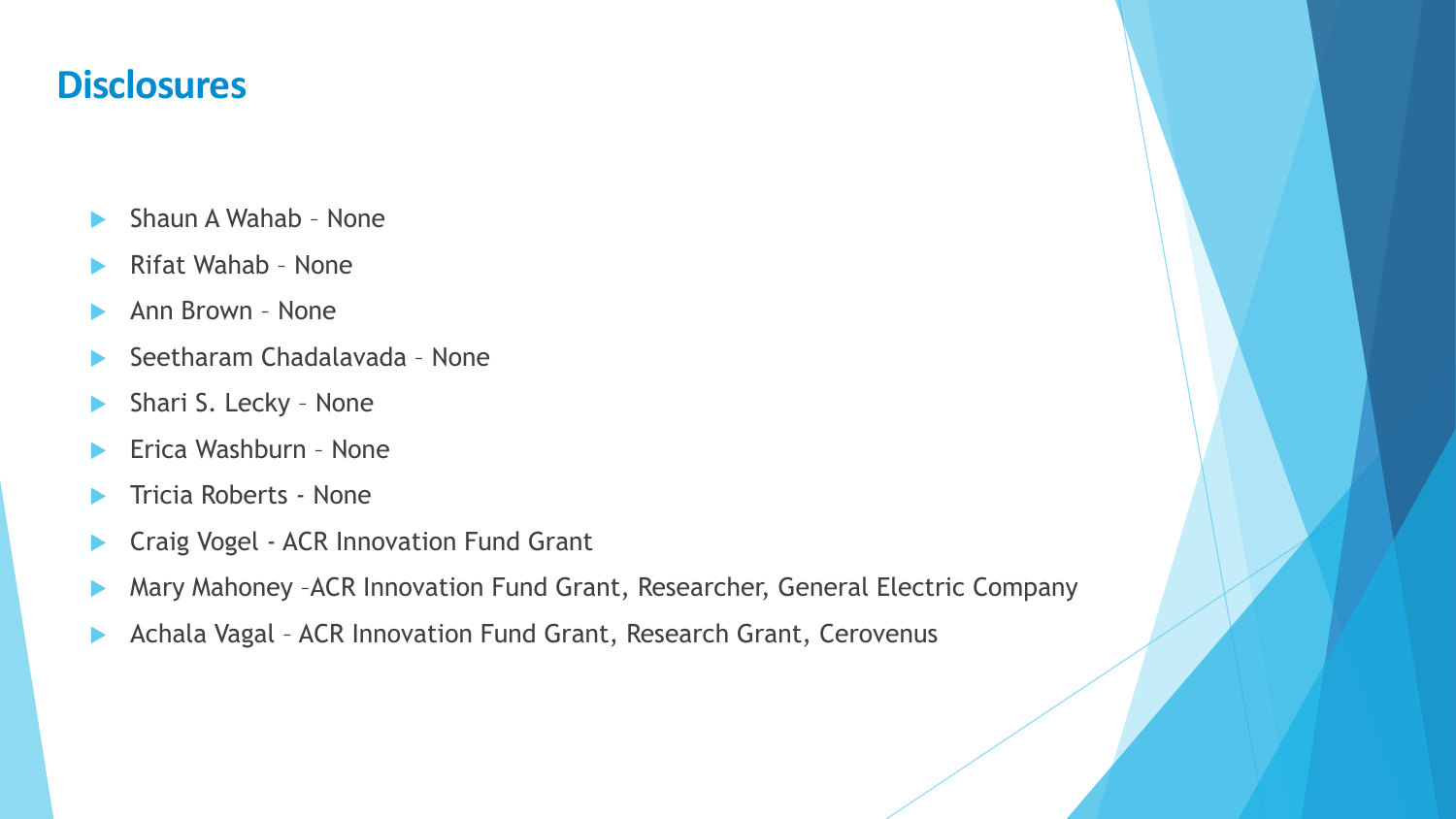#### **Disclosures**

- Shaun A Wahab None
- Rifat Wahab None
- Ann Brown None
- Seetharam Chadalavada None
- Shari S. Lecky None
- Erica Washburn None
- Tricia Roberts None
- **Craig Vogel ACR Innovation Fund Grant**
- Mary Mahoney –ACR Innovation Fund Grant, Researcher, General Electric Company
- Achala Vagal ACR Innovation Fund Grant, Research Grant, Cerovenus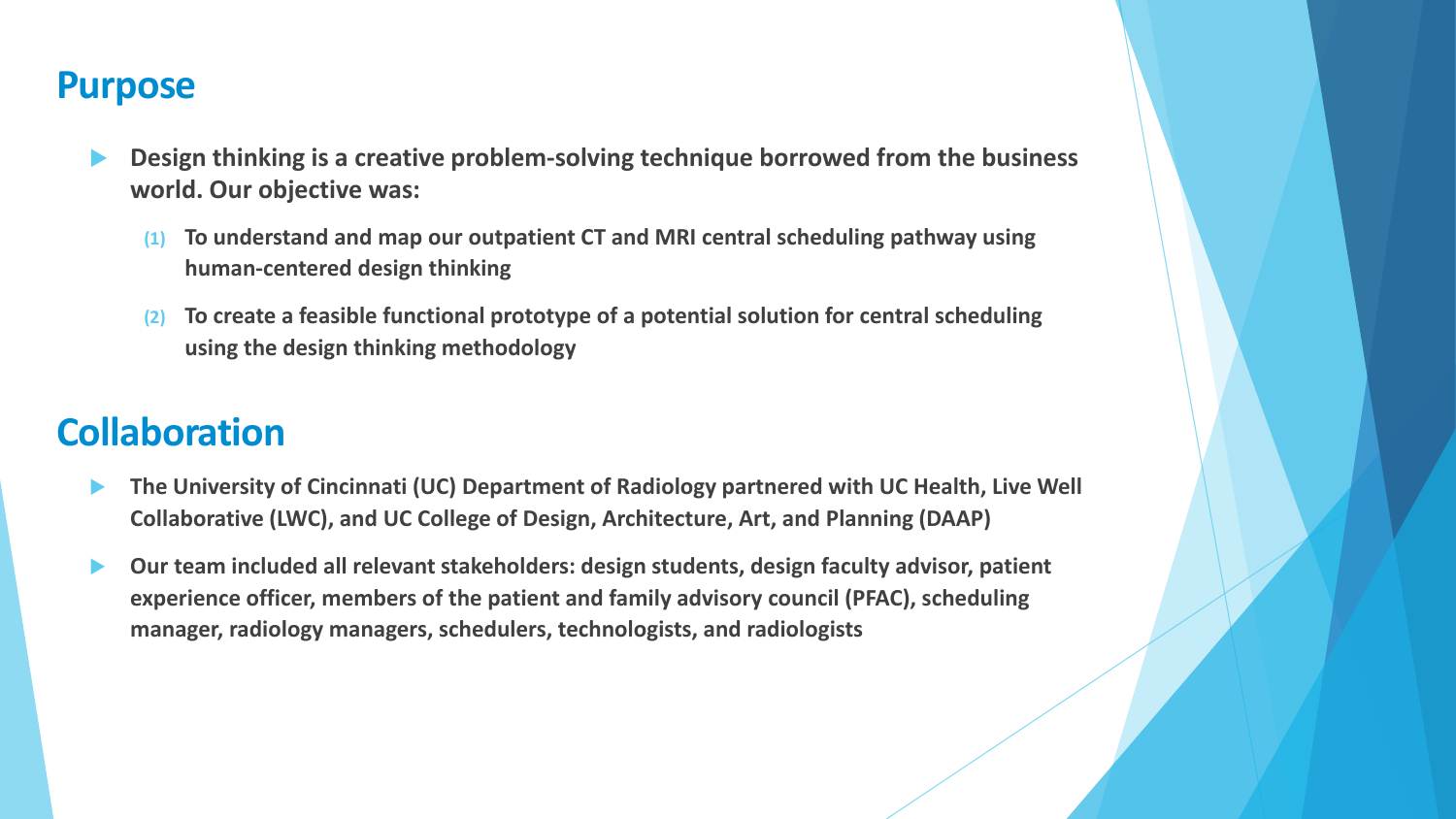#### **Purpose**

- **Design thinking is a creative problem-solving technique borrowed from the business world. Our objective was:** 
	- **(1) To understand and map our outpatient CT and MRI central scheduling pathway using human-centered design thinking**
	- **(2) To create a feasible functional prototype of a potential solution for central scheduling using the design thinking methodology**

# **Collaboration**

- **The University of Cincinnati (UC) Department of Radiology partnered with UC Health, Live Well Collaborative (LWC), and UC College of Design, Architecture, Art, and Planning (DAAP)**
- **Our team included all relevant stakeholders: design students, design faculty advisor, patient experience officer, members of the patient and family advisory council (PFAC), scheduling manager, radiology managers, schedulers, technologists, and radiologists**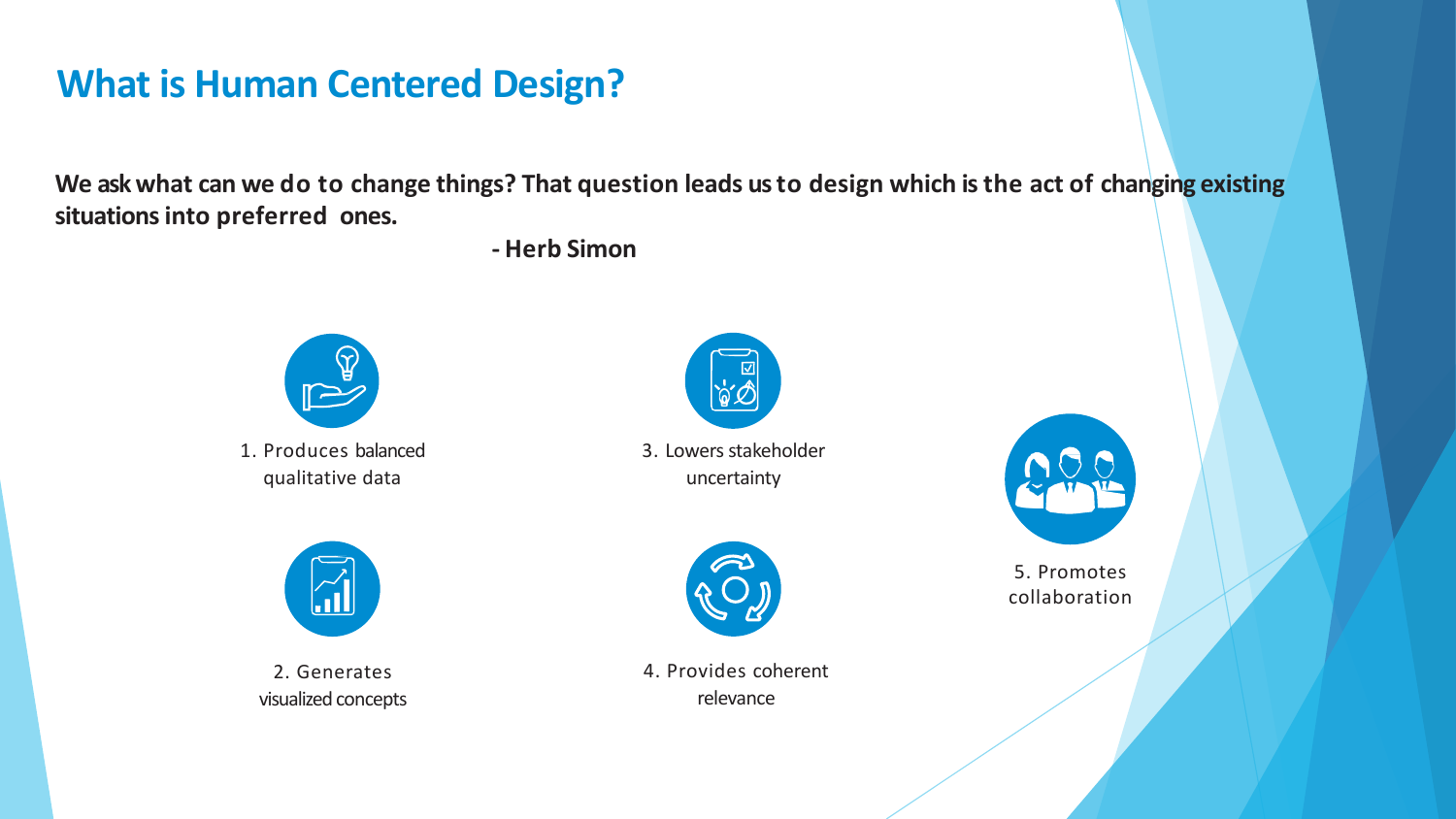# **What is Human Centered Design?**

**We askwhat can we do to change things? That question leads usto design which isthe act of changing existing situations into preferred ones.**

**- Herb Simon**



1. Produces balanced qualitative data



3. Lowers stakeholder uncertainty



2. Generates visualized concepts



4. Provides coherent relevance



5. Promotes collaboration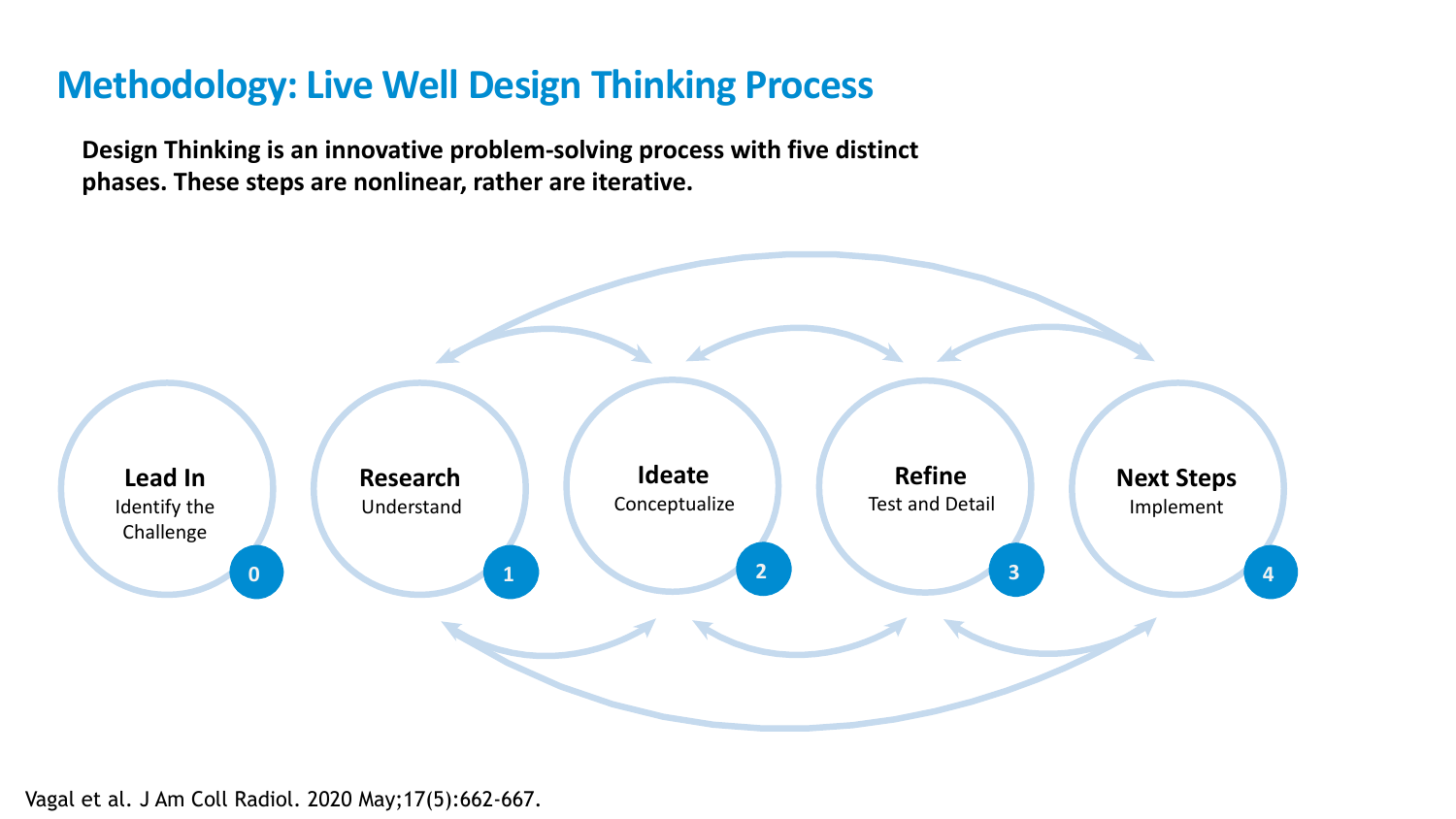# **Methodology: Live Well Design Thinking Process**

**Design Thinking is an innovative problem-solving process with five distinct phases. These steps are nonlinear, rather are iterative.**

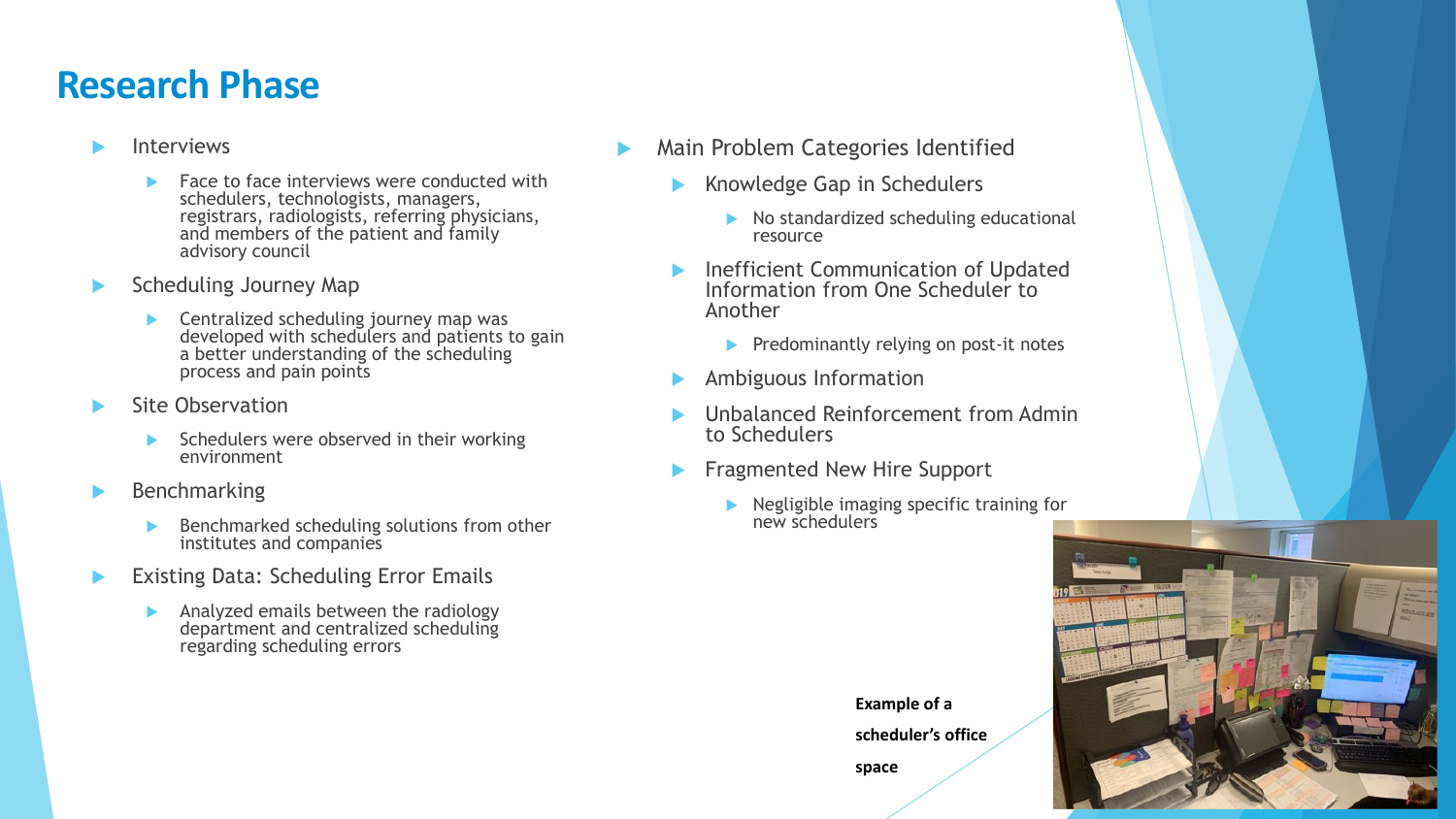#### **Research Phase**

- Interviews
	- Face to face interviews were conducted with schedulers, technologists, managers, registrars, radiologists, referring physicians, and members of the patient and family advisory council
- Scheduling Journey Map
	- **EXEC** Centralized scheduling journey map was developed with schedulers and patients to gain a better understanding of the scheduling process and pain points
- Site Observation
	- $\triangleright$  Schedulers were observed in their working environment
- Benchmarking
	- Benchmarked scheduling solutions from other institutes and companies
- Existing Data: Scheduling Error Emails
	- Analyzed emails between the radiology department and centralized scheduling regarding scheduling errors
- Main Problem Categories Identified
	- Knowledge Gap in Schedulers
		- $\triangleright$  No standardized scheduling educational resource
	- Inefficient Communication of Updated Information from One Scheduler to Another
		- $\blacktriangleright$  Predominantly relying on post-it notes
	- Ambiguous Information
	- Unbalanced Reinforcement from Admin to Schedulers
	- Fragmented New Hire Support
		- Negligible imaging specific training for new schedulers

**Example of a** 

**scheduler's office** 

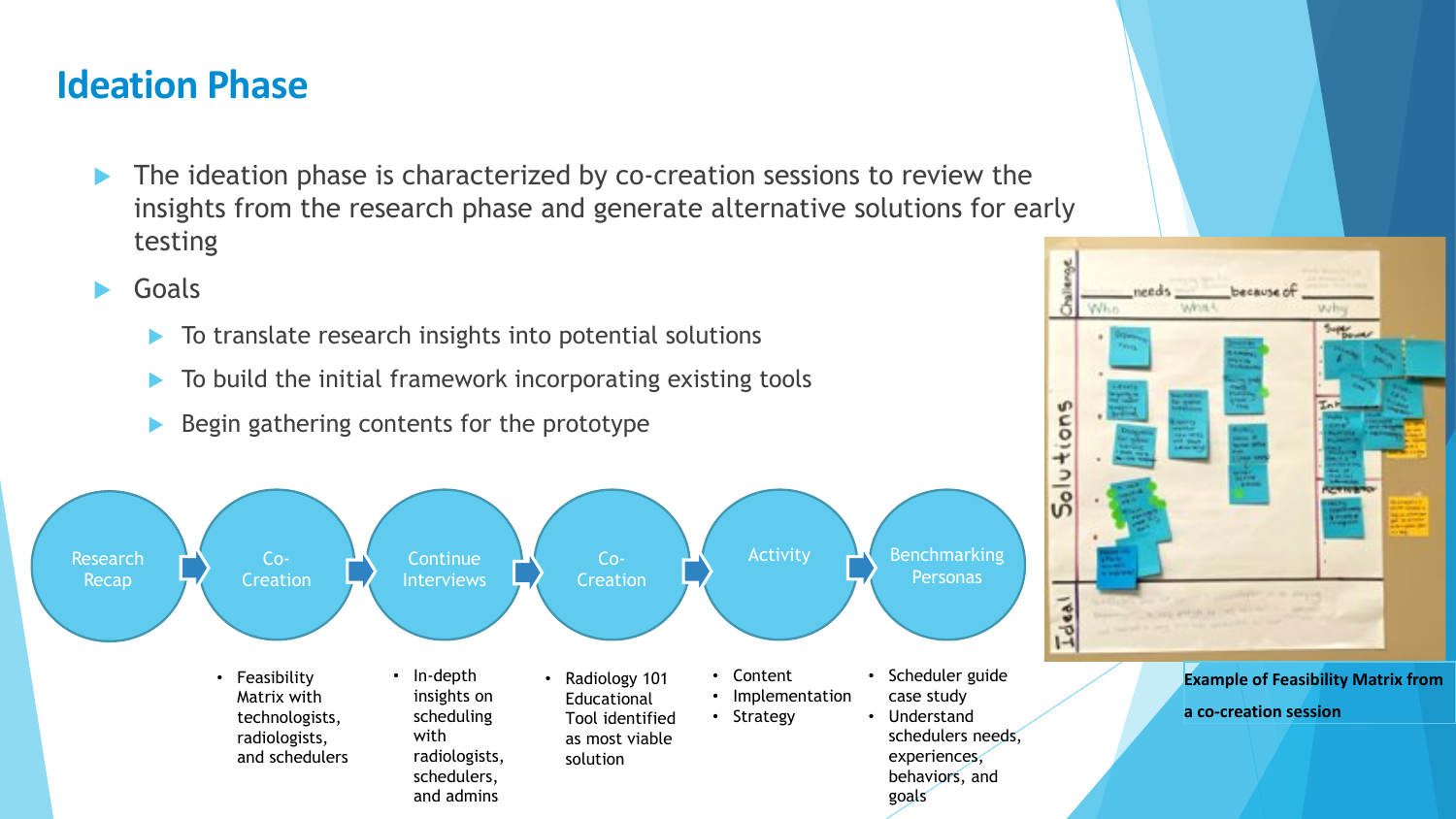# **Ideation Phase**

- The ideation phase is characterized by co-creation sessions to review the insights from the research phase and generate alternative solutions for early testing
- Goals
	- $\blacktriangleright$  To translate research insights into potential solutions
	- To build the initial framework incorporating existing tools
	- Begin gathering contents for the prototype





**Example of Feasibility Matrix from a co-creation session**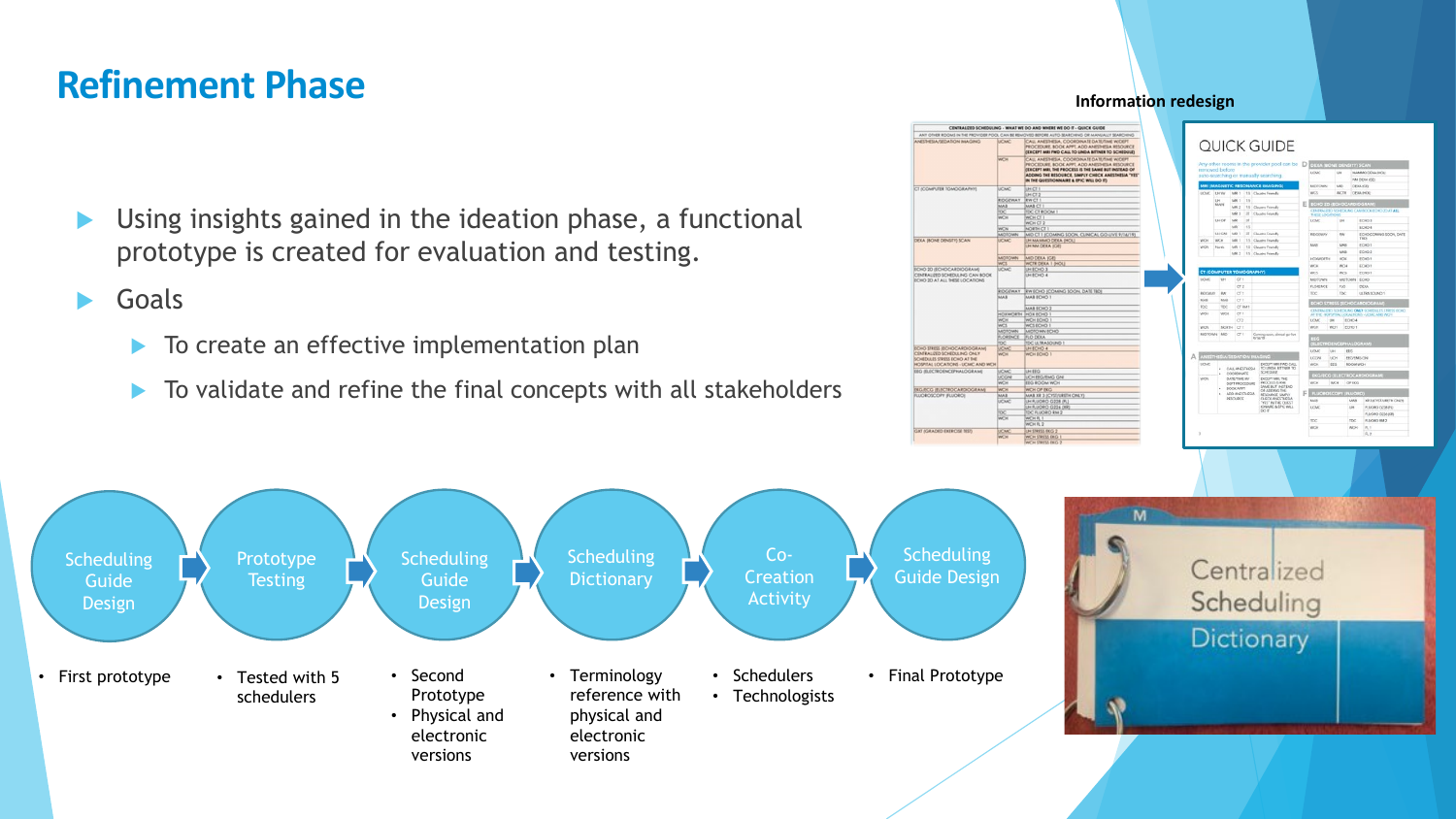### **Refinement Phase**

- Using insights gained in the ideation phase, a functional prototype is created for evaluation and testing.
- Goals
	- ▶ To create an effective implementation plan
	- To validate and refine the final concepts with all stakeholders



**Information redesign**

|                                                         |                                                |                                                                                                            |                              |         | Any other rooms in the provider pool can be D                                                                             |                          | DEXA (BONE DENSITY) SCAN                                                                    |                             |                                     |                     |                               |  |
|---------------------------------------------------------|------------------------------------------------|------------------------------------------------------------------------------------------------------------|------------------------------|---------|---------------------------------------------------------------------------------------------------------------------------|--------------------------|---------------------------------------------------------------------------------------------|-----------------------------|-------------------------------------|---------------------|-------------------------------|--|
| removed before<br>auto-searching or manually searching. |                                                |                                                                                                            |                              |         |                                                                                                                           |                          | <b>UCMC</b>                                                                                 |                             | <b>GH</b>                           | MAMMO DEKA INOU     |                               |  |
|                                                         |                                                |                                                                                                            |                              |         |                                                                                                                           |                          |                                                                                             |                             |                                     | <b>NATIONA IGES</b> |                               |  |
| MRI (MAGNETIC RESONANCE IMAGING)                        |                                                |                                                                                                            |                              |         |                                                                                                                           |                          | MDTOWN                                                                                      |                             | MO                                  |                     | DEMA (GID)                    |  |
| UOLKC                                                   | UKW                                            |                                                                                                            | NAME 1                       |         | 1.5 Claustra Franchy                                                                                                      |                          | WCS.                                                                                        |                             | <b>WCTH</b>                         |                     | <b>ISPAIL INCK1</b>           |  |
|                                                         | tH<br>MAIN                                     | tutti 1                                                                                                    | 13                           |         |                                                                                                                           | ECHO ZD (ECHOCARDIOGRAM) |                                                                                             |                             |                                     |                     |                               |  |
|                                                         |                                                | MR12                                                                                                       |                              |         | 1.5 Claustra Friendly                                                                                                     |                          | CENTRALIZED SCHEDIUNG CAN BOOK ECHO 2D AT ALL                                               |                             |                                     |                     |                               |  |
|                                                         |                                                | MRI 3                                                                                                      | 3T                           |         | Claustra Franchy                                                                                                          |                          | THESE LOCATIONS                                                                             |                             |                                     |                     |                               |  |
|                                                         | UH OF                                          | MR                                                                                                         | <b>x</b>                     |         |                                                                                                                           |                          | <b>UCMC</b>                                                                                 |                             | UH                                  | 1003                |                               |  |
|                                                         |                                                | <b>LIGH</b>                                                                                                | 15                           |         |                                                                                                                           |                          |                                                                                             |                             |                                     |                     | DOMO 4                        |  |
| <b>WO-</b>                                              | <b>UH CAE</b>                                  |                                                                                                            | <b>MRS 1</b><br>3T<br>sais s |         | Claustro Franchy<br>15 Claustra Friandly                                                                                  |                          | <b><i>RECEIVER</i></b>                                                                      |                             | PA                                  |                     | ECHOCOMING SOON, DATE<br>TROS |  |
|                                                         | <b>WCH</b>                                     |                                                                                                            |                              |         |                                                                                                                           |                          | MAIL                                                                                        |                             | NAAA                                |                     | <b>FCHO1</b>                  |  |
| <b>WCN</b>                                              | Nurth                                          | MR1 1<br>MRI 2                                                                                             |                              |         | 15 Claustro Franchy<br>15 Clauses Friends                                                                                 |                          |                                                                                             |                             | MAR                                 |                     | DOMO 2                        |  |
|                                                         |                                                |                                                                                                            |                              |         |                                                                                                                           |                          | <b>HOWAGETH</b>                                                                             | <b>HOW</b>                  |                                     |                     | ECHO <sub>1</sub>             |  |
|                                                         |                                                |                                                                                                            |                              |         |                                                                                                                           |                          | WCH                                                                                         |                             | <b>WCH</b>                          |                     | ECHO 1                        |  |
|                                                         | <b>CT (COMPUTER TOMOGRAPHY)</b>                |                                                                                                            |                              |         |                                                                                                                           |                          | ecs.                                                                                        |                             | <b>WCS</b>                          |                     | ECHO 1                        |  |
| UCMC                                                    | 1,84                                           |                                                                                                            | CT <sub>1</sub>              |         |                                                                                                                           |                          | <b>MOTOWN</b>                                                                               |                             | MOTOBN                              |                     | ECHO                          |  |
|                                                         |                                                |                                                                                                            | CT2                          |         |                                                                                                                           |                          | <b>FLORENCE</b>                                                                             |                             | FLO                                 |                     | <b>DEXA</b>                   |  |
| <b><i>ECONAY</i></b>                                    | <b>VA</b>                                      |                                                                                                            | CT <sub>1</sub>              |         |                                                                                                                           |                          | TDC                                                                                         |                             | TDC:                                |                     | USTRA SOUND 1                 |  |
| MAR                                                     |                                                | MAR<br>CT I                                                                                                |                              |         |                                                                                                                           |                          |                                                                                             |                             |                                     |                     |                               |  |
| TOC                                                     | TDC                                            | CT RM 1                                                                                                    |                              |         |                                                                                                                           |                          | ECHO STRESS (ECHOCARDIOGRAM)                                                                |                             |                                     |                     |                               |  |
| <b>WICH</b>                                             | WCH                                            |                                                                                                            | CT1                          |         |                                                                                                                           |                          | CENTRALIZED SCHEDUNG ONLY SCHEDULES STRESS ECHO<br>AT THE HOPSPITAL LOCALTICHE-UCMC AND WOH |                             |                                     |                     |                               |  |
|                                                         |                                                |                                                                                                            | CTZ                          |         |                                                                                                                           |                          | <b>UCMC</b><br>tas                                                                          |                             |                                     | ECHO 4              |                               |  |
| <b>WON</b>                                              | NORTH                                          |                                                                                                            | CT <sub>1</sub>              |         |                                                                                                                           |                          | WCH<br><b>WCH</b>                                                                           |                             | ECHO <sub>1</sub>                   |                     |                               |  |
| MOTOWN.                                                 | MD                                             |                                                                                                            | CT <sub>1</sub>              |         | Coming soon, clinical go-live                                                                                             |                          |                                                                                             |                             |                                     |                     |                               |  |
|                                                         |                                                |                                                                                                            |                              | 9/16/79 |                                                                                                                           |                          |                                                                                             |                             |                                     |                     |                               |  |
|                                                         |                                                |                                                                                                            |                              |         |                                                                                                                           |                          |                                                                                             |                             | <b>ELECTROSNCEPHALOGRAM</b><br>EEG. |                     |                               |  |
| <b>DIRECTMES ACTION AND IMAGING</b>                     |                                                |                                                                                                            |                              |         |                                                                                                                           |                          | <b>UCMC</b><br>LICIDES                                                                      | Like<br>LICH                |                                     |                     |                               |  |
| <b>SITME</b><br>EXCEPT MRI PWD-CALL                     |                                                |                                                                                                            |                              |         |                                                                                                                           | WCH<br>EEG               |                                                                                             |                             | EEG/EMG CAR<br><b>ROOM WOH</b>      |                     |                               |  |
|                                                         | CALL MARSTHESIA<br>٠<br>SCHEDULE<br>COORDINATE |                                                                                                            |                              |         | TO LINDA RITTNER TO                                                                                                       |                          |                                                                                             | EKG/ECG (ELECTROCARDIOGRAM) |                                     |                     |                               |  |
| <b>WCN</b>                                              |                                                | DATE/TIME W/<br>EXCEPTAMILTHE<br>PROCESS IS RHE<br>DEPT PROCEDURE<br>SAME BUT INSTEAD.<br><b>BOOK APPT</b> |                              |         |                                                                                                                           |                          |                                                                                             |                             |                                     |                     |                               |  |
|                                                         |                                                |                                                                                                            |                              |         |                                                                                                                           |                          | WCH                                                                                         | <b>WCH</b><br>OF EXO        |                                     |                     |                               |  |
|                                                         | ADD ANDSTHESIA<br>٠<br>RESOURCE                |                                                                                                            |                              |         | OF ADDING THE<br>RESOURCE, SIMPOY<br>CHECK ANESTHESIA<br>"YES" IN THE CHIEST<br><b>CNARE &amp; EPIC RALL</b><br>$0.0$ (T) |                          | <b>FLUOROSCOPY (FLUORO)</b>                                                                 |                             |                                     |                     |                               |  |
|                                                         |                                                |                                                                                                            |                              |         |                                                                                                                           |                          | MAIS                                                                                        |                             |                                     | MAR                 | <b>XR 3 (CYSTAIRETH CHEY)</b> |  |
|                                                         |                                                |                                                                                                            |                              |         |                                                                                                                           |                          | <b>UCMC</b>                                                                                 |                             |                                     | SH                  | FUJORO 0228 PU                |  |
|                                                         |                                                |                                                                                                            |                              |         |                                                                                                                           |                          |                                                                                             |                             |                                     |                     | FLUORO 6224-009               |  |
|                                                         |                                                |                                                                                                            |                              |         |                                                                                                                           |                          | <b>TDC</b>                                                                                  |                             |                                     | TDC                 | PLUCHO BM 2                   |  |
|                                                         |                                                |                                                                                                            |                              |         |                                                                                                                           |                          | WCH                                                                                         |                             |                                     | WCH                 | F1                            |  |
|                                                         |                                                |                                                                                                            |                              |         |                                                                                                                           |                          |                                                                                             |                             |                                     |                     | 良士                            |  |

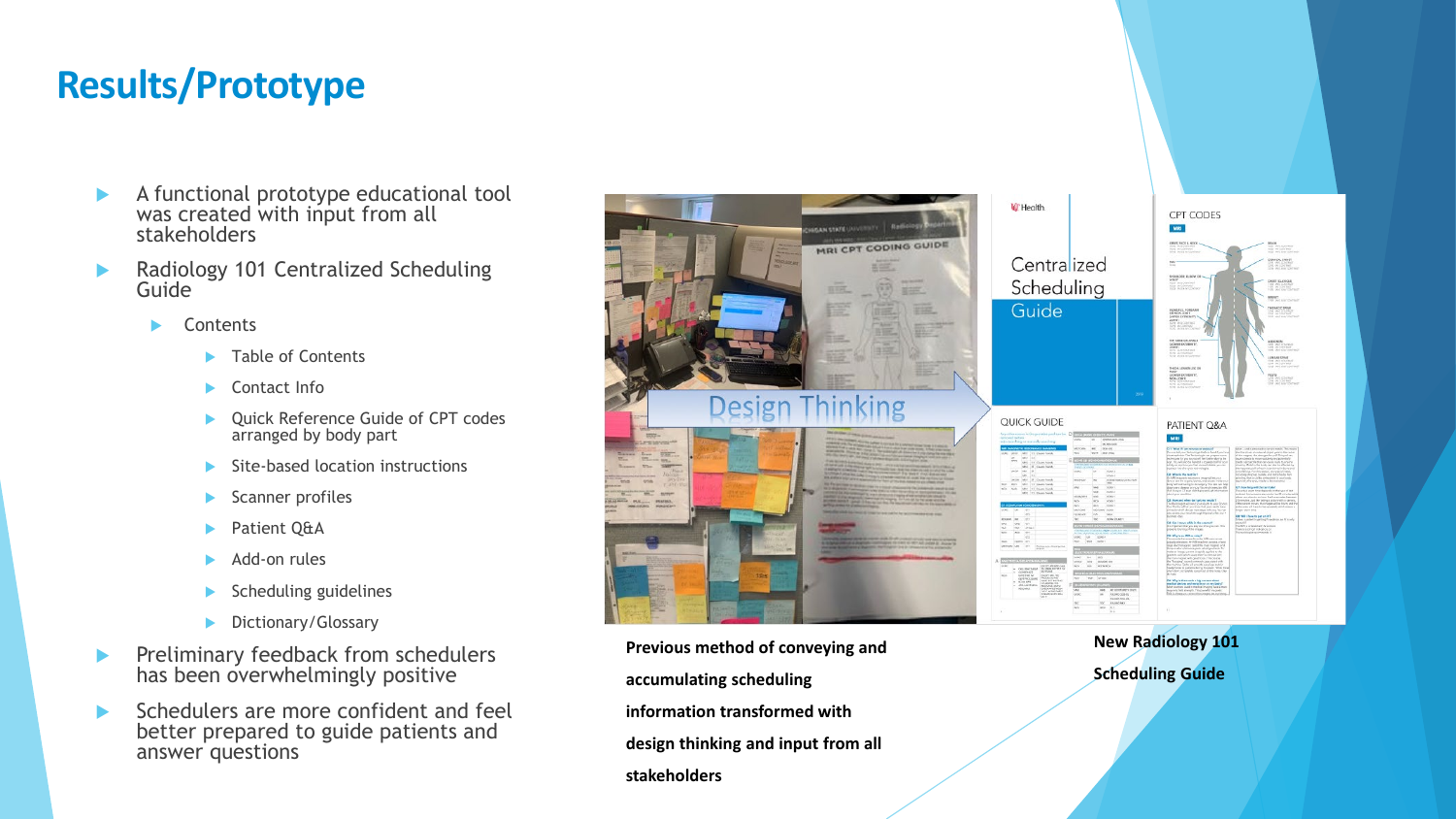## **Results/Prototype**

- A functional prototype educational tool was created with input from all stakeholders
- Radiology 101 Centralized Scheduling Guide
	- Contents
		- Table of Contents
		- Contact Info
		- Quick Reference Guide of CPT codes arranged by body part
		- Site-based location instructions
		- Scanner profiles
		- Patient Q&A
		- Add-on rules
		- Scheduling guidelines
		- Dictionary/Glossary
- **Preliminary feedback from schedulers** has been overwhelmingly positive
- Schedulers are more confident and feel better prepared to guide patients and answer questions



**Previous method of conveying and accumulating scheduling information transformed with design thinking and input from all stakeholders**

**New Radiology 101 Scheduling Guide**